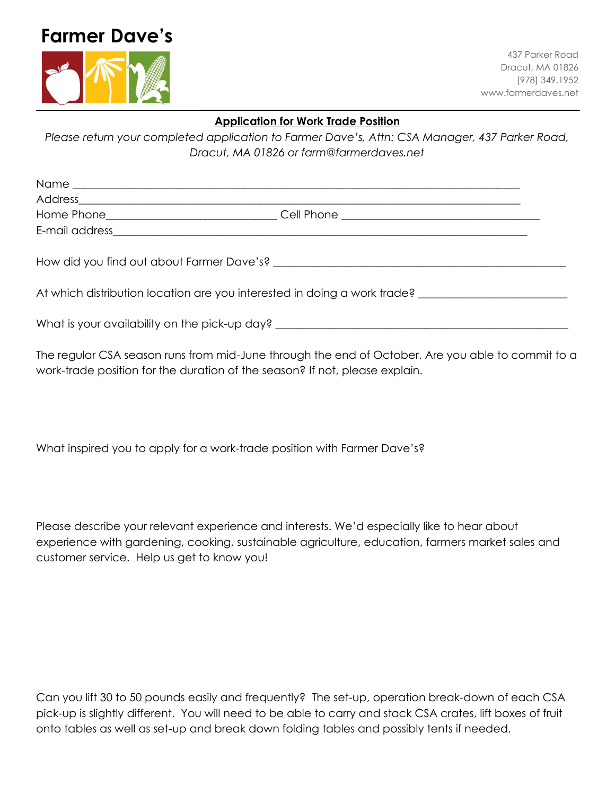## **Farmer Dave's**



437 Parker Road Dracut, MA 01826 (978) 349.1952 www.farmerdaves.net

## **Application for Work Trade Position**

*Please return your completed application to Farmer Dave's, Attn: CSA Manager, 437 Parker Road, Dracut, MA 01826 or farm@farmerdaves.net*

|                                                                                                                                                                                                                               | Home Phone___________________________________Cell Phone _________________________ |
|-------------------------------------------------------------------------------------------------------------------------------------------------------------------------------------------------------------------------------|-----------------------------------------------------------------------------------|
|                                                                                                                                                                                                                               |                                                                                   |
| How did you find out about Farmer Dave's? The metal of the state of the Mondon Section Area of the Mondon Section Area of the Mondon Section Area of the Mondon Section Area of the Mondon Section Area of the Mondon Section |                                                                                   |
| At which distribution location are you interested in doing a work trade? __________________________                                                                                                                           |                                                                                   |

What is your availability on the pick-up day? \_\_\_\_\_\_\_\_\_\_\_\_\_\_\_\_\_\_\_\_\_\_\_\_\_\_\_\_\_\_\_\_\_\_

The regular CSA season runs from mid-June through the end of October. Are you able to commit to a work-trade position for the duration of the season? If not, please explain.

What inspired you to apply for a work-trade position with Farmer Dave's?

Please describe your relevant experience and interests. We'd especially like to hear about experience with gardening, cooking, sustainable agriculture, education, farmers market sales and customer service. Help us get to know you!

Can you lift 30 to 50 pounds easily and frequently? The set-up, operation break-down of each CSA pick-up is slightly different. You will need to be able to carry and stack CSA crates, lift boxes of fruit onto tables as well as set-up and break down folding tables and possibly tents if needed.